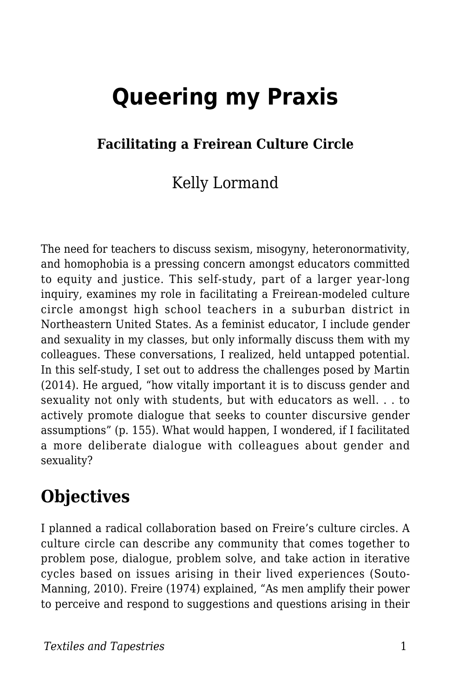# **Queering my Praxis**

#### **Facilitating a Freirean Culture Circle**

### Kelly Lormand

The need for teachers to discuss sexism, misogyny, heteronormativity, and homophobia is a pressing concern amongst educators committed to equity and justice. This self-study, part of a larger year-long inquiry, examines my role in facilitating a Freirean-modeled culture circle amongst high school teachers in a suburban district in Northeastern United States. As a feminist educator, I include gender and sexuality in my classes, but only informally discuss them with my colleagues. These conversations, I realized, held untapped potential. In this self-study, I set out to address the challenges posed by Martin (2014). He argued, "how vitally important it is to discuss gender and sexuality not only with students, but with educators as well. . . to actively promote dialogue that seeks to counter discursive gender assumptions" (p. 155). What would happen, I wondered, if I facilitated a more deliberate dialogue with colleagues about gender and sexuality?

### **Objectives**

I planned a radical collaboration based on Freire's culture circles. A culture circle can describe any community that comes together to problem pose, dialogue, problem solve, and take action in iterative cycles based on issues arising in their lived experiences (Souto-Manning, 2010). Freire (1974) explained, "As men amplify their power to perceive and respond to suggestions and questions arising in their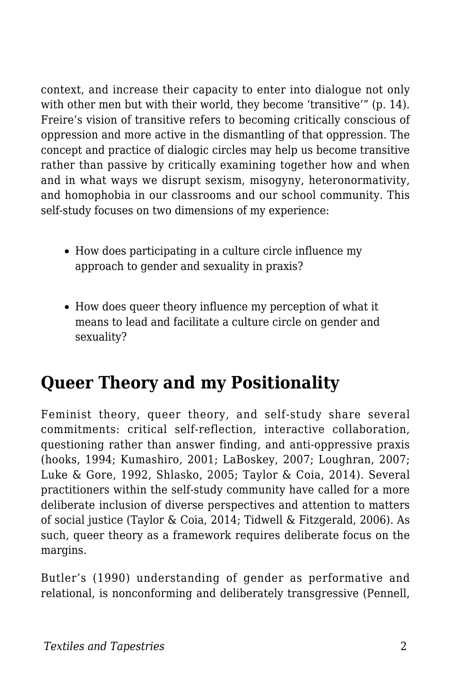context, and increase their capacity to enter into dialogue not only with other men but with their world, they become 'transitive'" (p. 14). Freire's vision of transitive refers to becoming critically conscious of oppression and more active in the dismantling of that oppression. The concept and practice of dialogic circles may help us become transitive rather than passive by critically examining together how and when and in what ways we disrupt sexism, misogyny, heteronormativity, and homophobia in our classrooms and our school community. This self-study focuses on two dimensions of my experience:

- How does participating in a culture circle influence my approach to gender and sexuality in praxis?
- How does queer theory influence my perception of what it means to lead and facilitate a culture circle on gender and sexuality?

### **Queer Theory and my Positionality**

Feminist theory, queer theory, and self-study share several commitments: critical self-reflection, interactive collaboration, questioning rather than answer finding, and anti-oppressive praxis (hooks, 1994; Kumashiro, 2001; LaBoskey, 2007; Loughran, 2007; Luke & Gore, 1992, Shlasko, 2005; Taylor & Coia, 2014). Several practitioners within the self-study community have called for a more deliberate inclusion of diverse perspectives and attention to matters of social justice (Taylor & Coia, 2014; Tidwell & Fitzgerald, 2006). As such, queer theory as a framework requires deliberate focus on the margins.

Butler's (1990) understanding of gender as performative and relational, is nonconforming and deliberately transgressive (Pennell,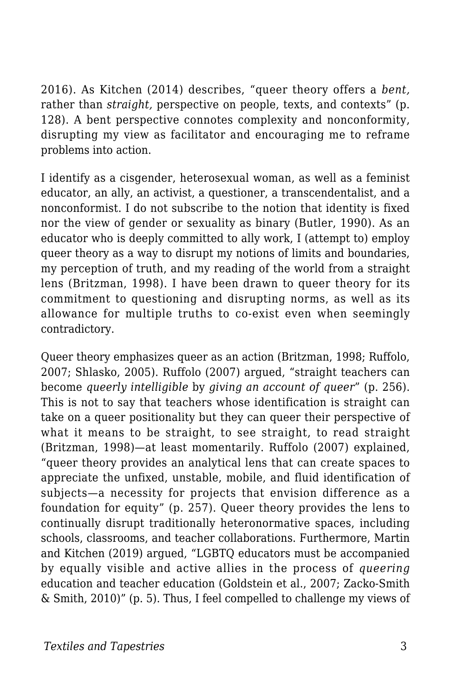2016). As Kitchen (2014) describes, "queer theory offers a *bent,* rather than *straight,* perspective on people, texts, and contexts" (p. 128). A bent perspective connotes complexity and nonconformity, disrupting my view as facilitator and encouraging me to reframe problems into action.

I identify as a cisgender, heterosexual woman, as well as a feminist educator, an ally, an activist, a questioner, a transcendentalist, and a nonconformist. I do not subscribe to the notion that identity is fixed nor the view of gender or sexuality as binary (Butler, 1990). As an educator who is deeply committed to ally work, I (attempt to) employ queer theory as a way to disrupt my notions of limits and boundaries, my perception of truth, and my reading of the world from a straight lens (Britzman, 1998). I have been drawn to queer theory for its commitment to questioning and disrupting norms, as well as its allowance for multiple truths to co-exist even when seemingly contradictory.

Queer theory emphasizes queer as an action (Britzman, 1998; Ruffolo, 2007; Shlasko, 2005). Ruffolo (2007) argued, "straight teachers can become *queerly intelligible* by *giving an account of queer*" (p. 256). This is not to say that teachers whose identification is straight can take on a queer positionality but they can queer their perspective of what it means to be straight, to see straight, to read straight (Britzman, 1998)—at least momentarily. Ruffolo (2007) explained, "queer theory provides an analytical lens that can create spaces to appreciate the unfixed, unstable, mobile, and fluid identification of subjects—a necessity for projects that envision difference as a foundation for equity" (p. 257). Queer theory provides the lens to continually disrupt traditionally heteronormative spaces, including schools, classrooms, and teacher collaborations. Furthermore, Martin and Kitchen (2019) argued, "LGBTQ educators must be accompanied by equally visible and active allies in the process of *queering* education and teacher education (Goldstein et al., 2007; Zacko-Smith & Smith, 2010)" (p. 5). Thus, I feel compelled to challenge my views of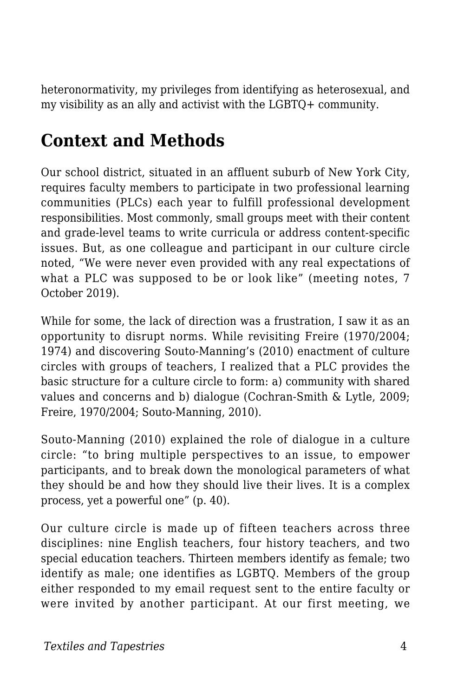heteronormativity, my privileges from identifying as heterosexual, and my visibility as an ally and activist with the LGBTQ+ community.

### **Context and Methods**

Our school district, situated in an affluent suburb of New York City, requires faculty members to participate in two professional learning communities (PLCs) each year to fulfill professional development responsibilities. Most commonly, small groups meet with their content and grade-level teams to write curricula or address content-specific issues. But, as one colleague and participant in our culture circle noted, "We were never even provided with any real expectations of what a PLC was supposed to be or look like" (meeting notes, 7 October 2019).

While for some, the lack of direction was a frustration, I saw it as an opportunity to disrupt norms. While revisiting Freire (1970/2004; 1974) and discovering Souto-Manning's (2010) enactment of culture circles with groups of teachers, I realized that a PLC provides the basic structure for a culture circle to form: a) community with shared values and concerns and b) dialogue (Cochran-Smith & Lytle, 2009; Freire, 1970/2004; Souto-Manning, 2010).

Souto-Manning (2010) explained the role of dialogue in a culture circle: "to bring multiple perspectives to an issue, to empower participants, and to break down the monological parameters of what they should be and how they should live their lives. It is a complex process, yet a powerful one" (p. 40).

Our culture circle is made up of fifteen teachers across three disciplines: nine English teachers, four history teachers, and two special education teachers. Thirteen members identify as female; two identify as male; one identifies as LGBTQ. Members of the group either responded to my email request sent to the entire faculty or were invited by another participant. At our first meeting, we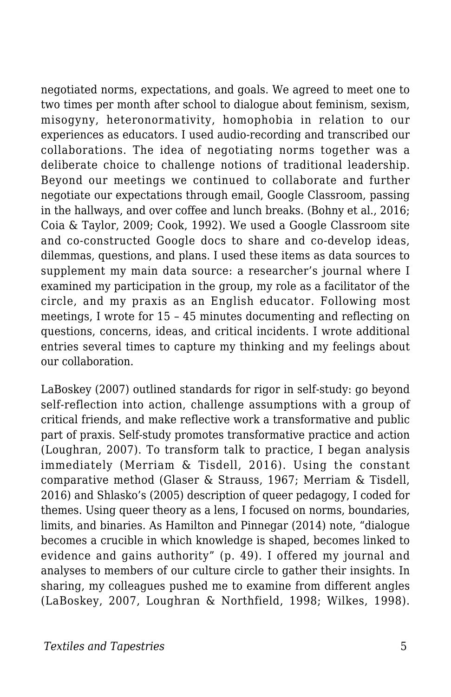negotiated norms, expectations, and goals. We agreed to meet one to two times per month after school to dialogue about feminism, sexism, misogyny, heteronormativity, homophobia in relation to our experiences as educators. I used audio-recording and transcribed our collaborations. The idea of negotiating norms together was a deliberate choice to challenge notions of traditional leadership. Beyond our meetings we continued to collaborate and further negotiate our expectations through email, Google Classroom, passing in the hallways, and over coffee and lunch breaks. (Bohny et al., 2016; Coia & Taylor, 2009; Cook, 1992). We used a Google Classroom site and co-constructed Google docs to share and co-develop ideas, dilemmas, questions, and plans. I used these items as data sources to supplement my main data source: a researcher's journal where I examined my participation in the group, my role as a facilitator of the circle, and my praxis as an English educator. Following most meetings, I wrote for 15 – 45 minutes documenting and reflecting on questions, concerns, ideas, and critical incidents. I wrote additional entries several times to capture my thinking and my feelings about our collaboration.

LaBoskey (2007) outlined standards for rigor in self-study: go beyond self-reflection into action, challenge assumptions with a group of critical friends, and make reflective work a transformative and public part of praxis. Self-study promotes transformative practice and action (Loughran, 2007). To transform talk to practice, I began analysis immediately (Merriam & Tisdell, 2016). Using the constant comparative method (Glaser & Strauss, 1967; Merriam & Tisdell, 2016) and Shlasko's (2005) description of queer pedagogy, I coded for themes. Using queer theory as a lens, I focused on norms, boundaries, limits, and binaries. As Hamilton and Pinnegar (2014) note, "dialogue becomes a crucible in which knowledge is shaped, becomes linked to evidence and gains authority" (p. 49). I offered my journal and analyses to members of our culture circle to gather their insights. In sharing, my colleagues pushed me to examine from different angles (LaBoskey, 2007, Loughran & Northfield, 1998; Wilkes, 1998).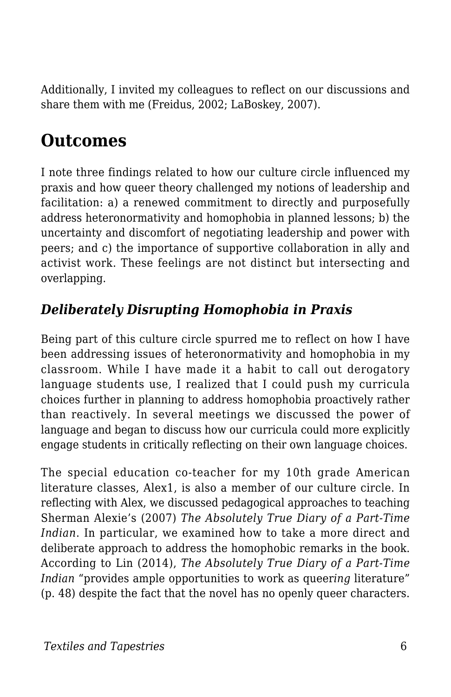Additionally, I invited my colleagues to reflect on our discussions and share them with me (Freidus, 2002; LaBoskey, 2007).

### **Outcomes**

I note three findings related to how our culture circle influenced my praxis and how queer theory challenged my notions of leadership and facilitation: a) a renewed commitment to directly and purposefully address heteronormativity and homophobia in planned lessons; b) the uncertainty and discomfort of negotiating leadership and power with peers; and c) the importance of supportive collaboration in ally and activist work. These feelings are not distinct but intersecting and overlapping.

#### *Deliberately Disrupting Homophobia in Praxis*

Being part of this culture circle spurred me to reflect on how I have been addressing issues of heteronormativity and homophobia in my classroom. While I have made it a habit to call out derogatory language students use, I realized that I could push my curricula choices further in planning to address homophobia proactively rather than reactively. In several meetings we discussed the power of language and began to discuss how our curricula could more explicitly engage students in critically reflecting on their own language choices.

The special education co-teacher for my 10th grade American literature classes, Alex1, is also a member of our culture circle. In reflecting with Alex, we discussed pedagogical approaches to teaching Sherman Alexie's (2007) *The Absolutely True Diary of a Part-Time Indian*. In particular, we examined how to take a more direct and deliberate approach to address the homophobic remarks in the book. According to Lin (2014), *The Absolutely True Diary of a Part-Time Indian* "provides ample opportunities to work as queer*ing* literature" (p. 48) despite the fact that the novel has no openly queer characters.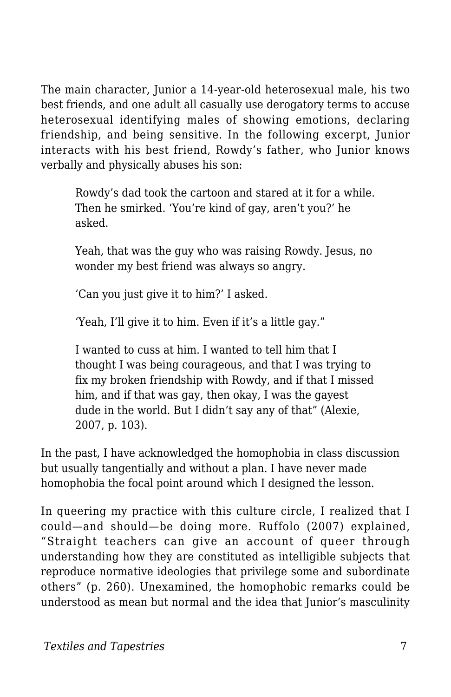The main character, Junior a 14-year-old heterosexual male, his two best friends, and one adult all casually use derogatory terms to accuse heterosexual identifying males of showing emotions, declaring friendship, and being sensitive. In the following excerpt, Junior interacts with his best friend, Rowdy's father, who Junior knows verbally and physically abuses his son:

Rowdy's dad took the cartoon and stared at it for a while. Then he smirked. 'You're kind of gay, aren't you?' he asked.

Yeah, that was the guy who was raising Rowdy. Jesus, no wonder my best friend was always so angry.

'Can you just give it to him?' I asked.

'Yeah, I'll give it to him. Even if it's a little gay."

I wanted to cuss at him. I wanted to tell him that I thought I was being courageous, and that I was trying to fix my broken friendship with Rowdy, and if that I missed him, and if that was gay, then okay, I was the gayest dude in the world. But I didn't say any of that" (Alexie, 2007, p. 103).

In the past, I have acknowledged the homophobia in class discussion but usually tangentially and without a plan. I have never made homophobia the focal point around which I designed the lesson.

In queering my practice with this culture circle, I realized that I could—and should—be doing more. Ruffolo (2007) explained, "Straight teachers can give an account of queer through understanding how they are constituted as intelligible subjects that reproduce normative ideologies that privilege some and subordinate others" (p. 260). Unexamined, the homophobic remarks could be understood as mean but normal and the idea that Junior's masculinity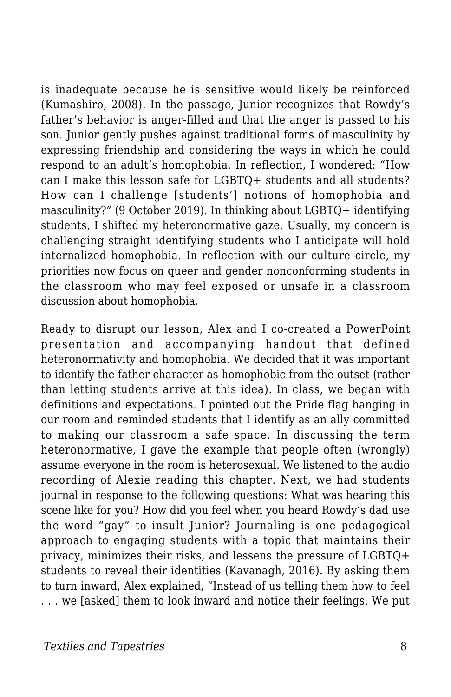is inadequate because he is sensitive would likely be reinforced (Kumashiro, 2008). In the passage, Junior recognizes that Rowdy's father's behavior is anger-filled and that the anger is passed to his son. Junior gently pushes against traditional forms of masculinity by expressing friendship and considering the ways in which he could respond to an adult's homophobia. In reflection, I wondered: "How can I make this lesson safe for LGBTQ+ students and all students? How can I challenge [students'] notions of homophobia and masculinity?" (9 October 2019). In thinking about LGBTQ+ identifying students, I shifted my heteronormative gaze. Usually, my concern is challenging straight identifying students who I anticipate will hold internalized homophobia. In reflection with our culture circle, my priorities now focus on queer and gender nonconforming students in the classroom who may feel exposed or unsafe in a classroom discussion about homophobia.

Ready to disrupt our lesson, Alex and I co-created a PowerPoint presentation and accompanying handout that defined heteronormativity and homophobia. We decided that it was important to identify the father character as homophobic from the outset (rather than letting students arrive at this idea). In class, we began with definitions and expectations. I pointed out the Pride flag hanging in our room and reminded students that I identify as an ally committed to making our classroom a safe space. In discussing the term heteronormative, I gave the example that people often (wrongly) assume everyone in the room is heterosexual. We listened to the audio recording of Alexie reading this chapter. Next, we had students journal in response to the following questions: What was hearing this scene like for you? How did you feel when you heard Rowdy's dad use the word "gay" to insult Junior? Journaling is one pedagogical approach to engaging students with a topic that maintains their privacy, minimizes their risks, and lessens the pressure of LGBTQ+ students to reveal their identities (Kavanagh, 2016). By asking them to turn inward, Alex explained, "Instead of us telling them how to feel . . . we [asked] them to look inward and notice their feelings. We put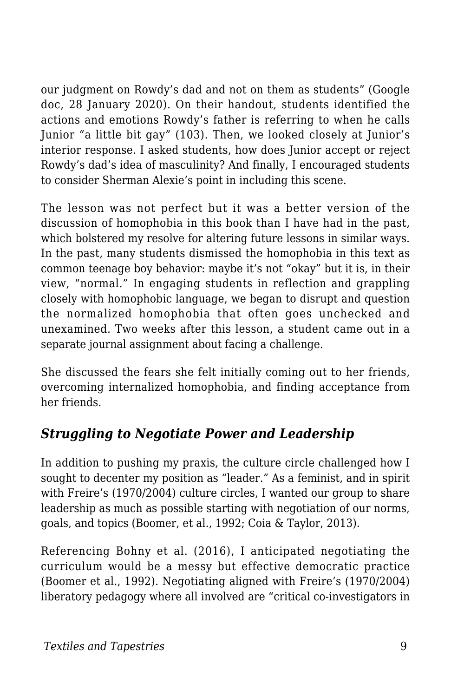our judgment on Rowdy's dad and not on them as students" (Google doc, 28 January 2020). On their handout, students identified the actions and emotions Rowdy's father is referring to when he calls Junior "a little bit gay" (103). Then, we looked closely at Junior's interior response. I asked students, how does Junior accept or reject Rowdy's dad's idea of masculinity? And finally, I encouraged students to consider Sherman Alexie's point in including this scene.

The lesson was not perfect but it was a better version of the discussion of homophobia in this book than I have had in the past, which bolstered my resolve for altering future lessons in similar ways. In the past, many students dismissed the homophobia in this text as common teenage boy behavior: maybe it's not "okay" but it is, in their view, "normal." In engaging students in reflection and grappling closely with homophobic language, we began to disrupt and question the normalized homophobia that often goes unchecked and unexamined. Two weeks after this lesson, a student came out in a separate journal assignment about facing a challenge.

She discussed the fears she felt initially coming out to her friends, overcoming internalized homophobia, and finding acceptance from her friends.

#### *Struggling to Negotiate Power and Leadership*

In addition to pushing my praxis, the culture circle challenged how I sought to decenter my position as "leader." As a feminist, and in spirit with Freire's (1970/2004) culture circles, I wanted our group to share leadership as much as possible starting with negotiation of our norms, goals, and topics (Boomer, et al., 1992; Coia & Taylor, 2013).

Referencing Bohny et al. (2016), I anticipated negotiating the curriculum would be a messy but effective democratic practice (Boomer et al., 1992). Negotiating aligned with Freire's (1970/2004) liberatory pedagogy where all involved are "critical co-investigators in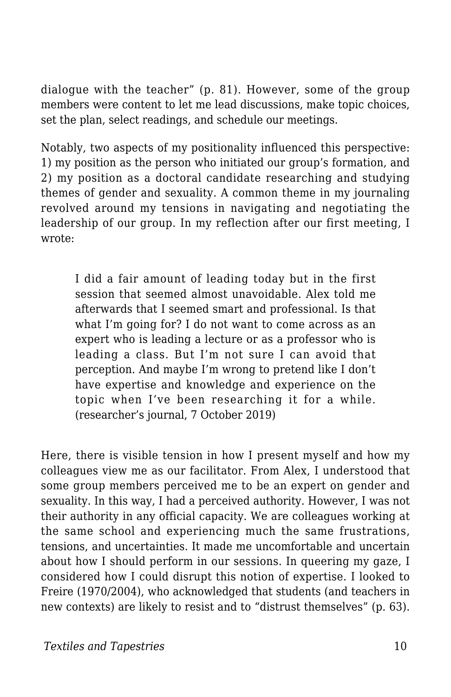dialogue with the teacher" (p. 81). However, some of the group members were content to let me lead discussions, make topic choices, set the plan, select readings, and schedule our meetings.

Notably, two aspects of my positionality influenced this perspective: 1) my position as the person who initiated our group's formation, and 2) my position as a doctoral candidate researching and studying themes of gender and sexuality. A common theme in my journaling revolved around my tensions in navigating and negotiating the leadership of our group. In my reflection after our first meeting, I wrote:

I did a fair amount of leading today but in the first session that seemed almost unavoidable. Alex told me afterwards that I seemed smart and professional. Is that what I'm going for? I do not want to come across as an expert who is leading a lecture or as a professor who is leading a class. But I'm not sure I can avoid that perception. And maybe I'm wrong to pretend like I don't have expertise and knowledge and experience on the topic when I've been researching it for a while. (researcher's journal, 7 October 2019)

Here, there is visible tension in how I present myself and how my colleagues view me as our facilitator. From Alex, I understood that some group members perceived me to be an expert on gender and sexuality. In this way, I had a perceived authority. However, I was not their authority in any official capacity. We are colleagues working at the same school and experiencing much the same frustrations, tensions, and uncertainties. It made me uncomfortable and uncertain about how I should perform in our sessions. In queering my gaze, I considered how I could disrupt this notion of expertise. I looked to Freire (1970/2004), who acknowledged that students (and teachers in new contexts) are likely to resist and to "distrust themselves" (p. 63).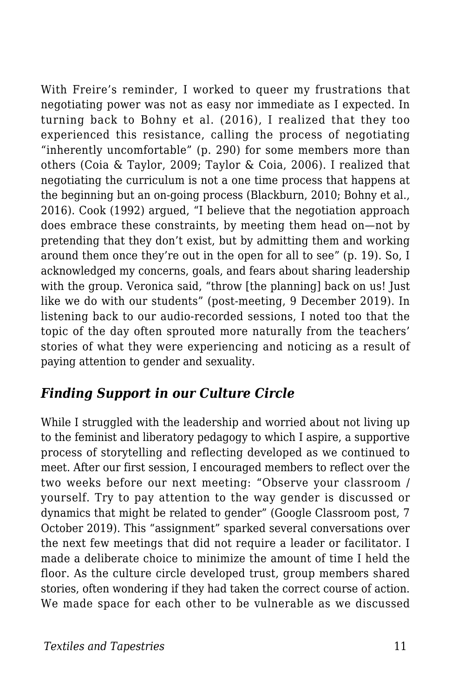With Freire's reminder, I worked to queer my frustrations that negotiating power was not as easy nor immediate as I expected. In turning back to Bohny et al. (2016), I realized that they too experienced this resistance, calling the process of negotiating "inherently uncomfortable" (p. 290) for some members more than others (Coia & Taylor, 2009; Taylor & Coia, 2006). I realized that negotiating the curriculum is not a one time process that happens at the beginning but an on-going process (Blackburn, 2010; Bohny et al., 2016). Cook (1992) argued, "I believe that the negotiation approach does embrace these constraints, by meeting them head on—not by pretending that they don't exist, but by admitting them and working around them once they're out in the open for all to see" (p. 19). So, I acknowledged my concerns, goals, and fears about sharing leadership with the group. Veronica said, "throw [the planning] back on us! Just like we do with our students" (post-meeting, 9 December 2019). In listening back to our audio-recorded sessions, I noted too that the topic of the day often sprouted more naturally from the teachers' stories of what they were experiencing and noticing as a result of paying attention to gender and sexuality.

#### *Finding Support in our Culture Circle*

While I struggled with the leadership and worried about not living up to the feminist and liberatory pedagogy to which I aspire, a supportive process of storytelling and reflecting developed as we continued to meet. After our first session, I encouraged members to reflect over the two weeks before our next meeting: "Observe your classroom / yourself. Try to pay attention to the way gender is discussed or dynamics that might be related to gender" (Google Classroom post, 7 October 2019). This "assignment" sparked several conversations over the next few meetings that did not require a leader or facilitator. I made a deliberate choice to minimize the amount of time I held the floor. As the culture circle developed trust, group members shared stories, often wondering if they had taken the correct course of action. We made space for each other to be vulnerable as we discussed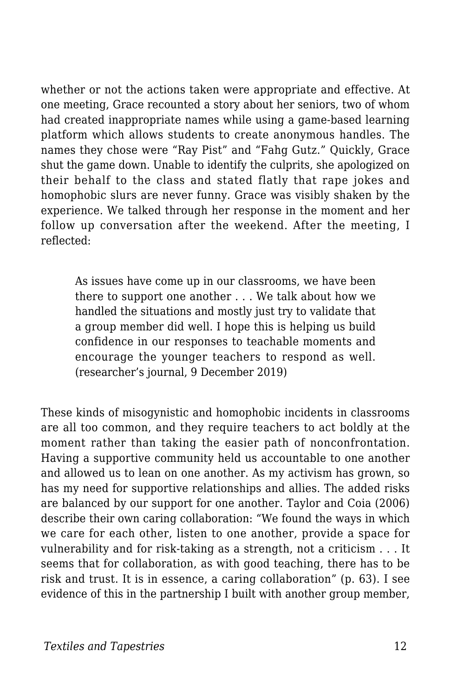whether or not the actions taken were appropriate and effective. At one meeting, Grace recounted a story about her seniors, two of whom had created inappropriate names while using a game-based learning platform which allows students to create anonymous handles. The names they chose were "Ray Pist" and "Fahg Gutz." Quickly, Grace shut the game down. Unable to identify the culprits, she apologized on their behalf to the class and stated flatly that rape jokes and homophobic slurs are never funny. Grace was visibly shaken by the experience. We talked through her response in the moment and her follow up conversation after the weekend. After the meeting, I reflected:

As issues have come up in our classrooms, we have been there to support one another . . . We talk about how we handled the situations and mostly just try to validate that a group member did well. I hope this is helping us build confidence in our responses to teachable moments and encourage the younger teachers to respond as well. (researcher's journal, 9 December 2019)

These kinds of misogynistic and homophobic incidents in classrooms are all too common, and they require teachers to act boldly at the moment rather than taking the easier path of nonconfrontation. Having a supportive community held us accountable to one another and allowed us to lean on one another. As my activism has grown, so has my need for supportive relationships and allies. The added risks are balanced by our support for one another. Taylor and Coia (2006) describe their own caring collaboration: "We found the ways in which we care for each other, listen to one another, provide a space for vulnerability and for risk-taking as a strength, not a criticism . . . It seems that for collaboration, as with good teaching, there has to be risk and trust. It is in essence, a caring collaboration" (p. 63). I see evidence of this in the partnership I built with another group member,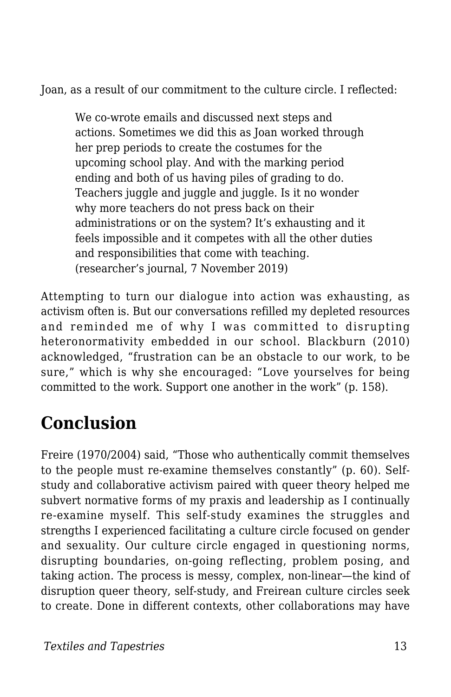Joan, as a result of our commitment to the culture circle. I reflected:

We co-wrote emails and discussed next steps and actions. Sometimes we did this as Joan worked through her prep periods to create the costumes for the upcoming school play. And with the marking period ending and both of us having piles of grading to do. Teachers juggle and juggle and juggle. Is it no wonder why more teachers do not press back on their administrations or on the system? It's exhausting and it feels impossible and it competes with all the other duties and responsibilities that come with teaching. (researcher's journal, 7 November 2019)

Attempting to turn our dialogue into action was exhausting, as activism often is. But our conversations refilled my depleted resources and reminded me of why I was committed to disrupting heteronormativity embedded in our school. Blackburn (2010) acknowledged, "frustration can be an obstacle to our work, to be sure," which is why she encouraged: "Love yourselves for being committed to the work. Support one another in the work" (p. 158).

## **Conclusion**

Freire (1970/2004) said, "Those who authentically commit themselves to the people must re-examine themselves constantly" (p. 60). Selfstudy and collaborative activism paired with queer theory helped me subvert normative forms of my praxis and leadership as I continually re-examine myself. This self-study examines the struggles and strengths I experienced facilitating a culture circle focused on gender and sexuality. Our culture circle engaged in questioning norms, disrupting boundaries, on-going reflecting, problem posing, and taking action. The process is messy, complex, non-linear—the kind of disruption queer theory, self-study, and Freirean culture circles seek to create. Done in different contexts, other collaborations may have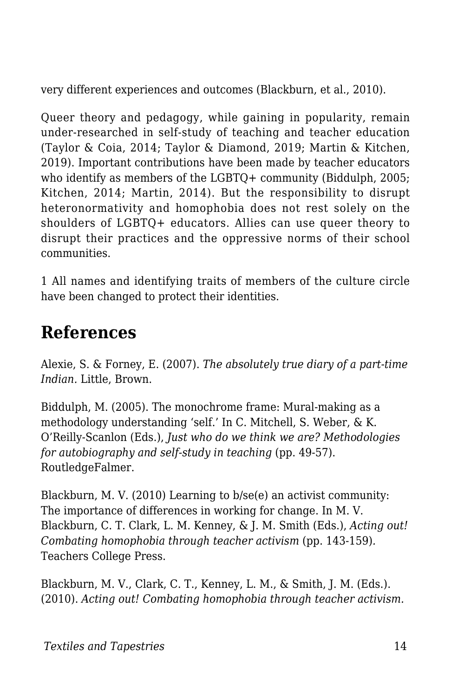very different experiences and outcomes (Blackburn, et al., 2010).

Queer theory and pedagogy, while gaining in popularity, remain under-researched in self-study of teaching and teacher education (Taylor & Coia, 2014; Taylor & Diamond, 2019; Martin & Kitchen, 2019). Important contributions have been made by teacher educators who identify as members of the LGBTQ+ community (Biddulph, 2005; Kitchen, 2014; Martin, 2014). But the responsibility to disrupt heteronormativity and homophobia does not rest solely on the shoulders of LGBTQ+ educators. Allies can use queer theory to disrupt their practices and the oppressive norms of their school communities.

1 All names and identifying traits of members of the culture circle have been changed to protect their identities.

### **References**

Alexie, S. & Forney, E. (2007). *The absolutely true diary of a part-time Indian.* Little, Brown.

Biddulph, M. (2005). The monochrome frame: Mural-making as a methodology understanding 'self.' In C. Mitchell, S. Weber, & K. O'Reilly-Scanlon (Eds.), *Just who do we think we are? Methodologies for autobiography and self-study in teaching* (pp. 49-57). RoutledgeFalmer.

Blackburn, M. V. (2010) Learning to b/se(e) an activist community: The importance of differences in working for change. In M. V. Blackburn, C. T. Clark, L. M. Kenney, & J. M. Smith (Eds.), *Acting out! Combating homophobia through teacher activism* (pp. 143-159)*.* Teachers College Press.

Blackburn, M. V., Clark, C. T., Kenney, L. M., & Smith, J. M. (Eds.). (2010). *Acting out! Combating homophobia through teacher activism.*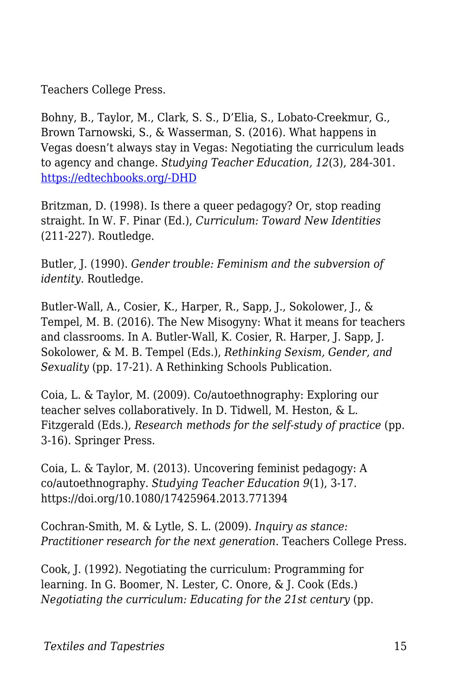Teachers College Press.

Bohny, B., Taylor, M., Clark, S. S., D'Elia, S., Lobato-Creekmur, G., Brown Tarnowski, S., & Wasserman, S. (2016). What happens in Vegas doesn't always stay in Vegas: Negotiating the curriculum leads to agency and change. *Studying Teacher Education, 12*(3), 284-301. [https://edtechbooks.org/-DHD](http://dx.doi.org/10.1080/17425964.2016.1237352)

Britzman, D. (1998). Is there a queer pedagogy? Or, stop reading straight. In W. F. Pinar (Ed.), *Curriculum: Toward New Identities* (211-227). Routledge.

Butler, J. (1990). *Gender trouble: Feminism and the subversion of identity.* Routledge.

Butler-Wall, A., Cosier, K., Harper, R., Sapp, J., Sokolower, J., & Tempel, M. B. (2016). The New Misogyny: What it means for teachers and classrooms. In A. Butler-Wall, K. Cosier, R. Harper, J. Sapp, J. Sokolower, & M. B. Tempel (Eds.), *Rethinking Sexism, Gender, and Sexuality* (pp. 17-21). A Rethinking Schools Publication.

Coia, L. & Taylor, M. (2009). Co/autoethnography: Exploring our teacher selves collaboratively. In D. Tidwell, M. Heston, & L. Fitzgerald (Eds.), *Research methods for the self-study of practice* (pp. 3-16). Springer Press.

Coia, L. & Taylor, M. (2013). Uncovering feminist pedagogy: A co/autoethnography. *Studying Teacher Education 9*(1), 3-17. https://doi.org/10.1080/17425964.2013.771394

Cochran-Smith, M. & Lytle, S. L. (2009). *Inquiry as stance: Practitioner research for the next generation*. Teachers College Press.

Cook, J. (1992). Negotiating the curriculum: Programming for learning. In G. Boomer, N. Lester, C. Onore, & J. Cook (Eds.) *Negotiating the curriculum: Educating for the 21st century (pp.*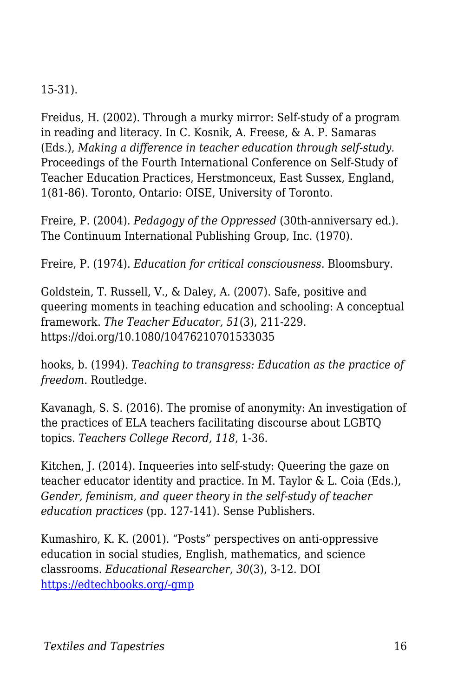#### 15-31).

Freidus, H. (2002). Through a murky mirror: Self-study of a program in reading and literacy. In C. Kosnik, A. Freese, & A. P. Samaras (Eds.), *Making a difference in teacher education through self-study.* Proceedings of the Fourth International Conference on Self-Study of Teacher Education Practices, Herstmonceux, East Sussex, England, 1(81-86). Toronto, Ontario: OISE, University of Toronto.

Freire, P. (2004). *Pedagogy of the Oppressed* (30th-anniversary ed.)*.* The Continuum International Publishing Group, Inc. (1970).

Freire, P. (1974). *Education for critical consciousness*. Bloomsbury.

Goldstein, T. Russell, V., & Daley, A. (2007). Safe, positive and queering moments in teaching education and schooling: A conceptual framework. *The Teacher Educator, 51*(3), 211-229. https://doi.org/10.1080/10476210701533035

hooks, b. (1994). *Teaching to transgress: Education as the practice of freedom*. Routledge.

Kavanagh, S. S. (2016). The promise of anonymity: An investigation of the practices of ELA teachers facilitating discourse about LGBTQ topics. *Teachers College Record, 118*, 1-36.

Kitchen, J. (2014). Inqueeries into self-study: Queering the gaze on teacher educator identity and practice. In M. Taylor & L. Coia (Eds.), *Gender, feminism, and queer theory in the self-study of teacher education practices* (pp. 127-141). Sense Publishers.

Kumashiro, K. K. (2001). "Posts" perspectives on anti-oppressive education in social studies, English, mathematics, and science classrooms. *Educational Researcher, 30*(3), 3-12. DOI [https://edtechbooks.org/-gmp](https://doi.org/10.3102/0013189X030003003)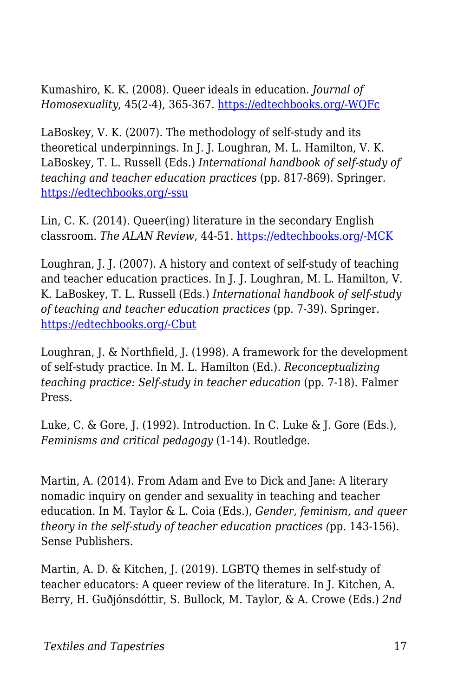Kumashiro, K. K. (2008). Queer ideals in education. *Journal of Homosexuality*, 45(2-4), 365-367. [https://edtechbooks.org/-WQFc](https://doi.org/10.1300/J082v45n02_23)

LaBoskey, V. K. (2007). The methodology of self-study and its theoretical underpinnings. In J. J. Loughran, M. L. Hamilton, V. K. LaBoskey, T. L. Russell (Eds.) *International handbook of self-study of teaching and teacher education practices* (pp. 817-869). Springer. [https://edtechbooks.org/-ssu](https://doi.org/10.1007/978-1-4020-6545-)

Lin, C. K. (2014). Queer(ing) literature in the secondary English classroom. *The ALAN Review*, 44-51. [https://edtechbooks.org/-MCK](https://doi.org/10.21061/alan.v42i1.a.5)

Loughran, J. J. (2007). A history and context of self-study of teaching and teacher education practices. In J. J. Loughran, M. L. Hamilton, V. K. LaBoskey, T. L. Russell (Eds.) *International handbook of self-study of teaching and teacher education practices* (pp. 7-39). Springer. [https://edtechbooks.org/-Cbut](https://doi.org/10.1007/978-1-4020-6545-3)

Loughran, J. & Northfield, J. (1998). A framework for the development of self-study practice. In M. L. Hamilton (Ed.). *Reconceptualizing teaching practice: Self-study in teacher education* (pp. 7-18). Falmer Press.

Luke, C. & Gore, J. (1992). Introduction. In C. Luke & J. Gore (Eds.), *Feminisms and critical pedagogy* (1-14)*.* Routledge.

Martin, A. (2014). From Adam and Eve to Dick and Jane: A literary nomadic inquiry on gender and sexuality in teaching and teacher education. In M. Taylor & L. Coia (Eds.), *Gender, feminism, and queer theory in the self-study of teacher education practices (*pp. 143-156). Sense Publishers.

Martin, A. D. & Kitchen, J. (2019). LGBTQ themes in self-study of teacher educators: A queer review of the literature. In J. Kitchen, A. Berry, H. Guðjónsdóttir, S. Bullock, M. Taylor, & A. Crowe (Eds.) *2nd*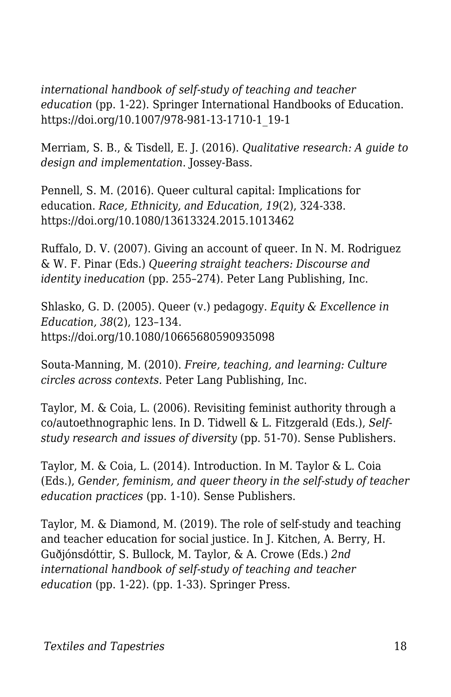*international handbook of self-study of teaching and teacher education* (pp. 1-22). Springer International Handbooks of Education. https://doi.org/10.1007/978-981-13-1710-1\_19-1

Merriam, S. B., & Tisdell, E. J. (2016). *Qualitative research: A guide to design and implementation*. Jossey-Bass.

Pennell, S. M. (2016). Queer cultural capital: Implications for education. *Race, Ethnicity, and Education, 19*(2), 324-338. https://doi.org/10.1080/13613324.2015.1013462

Ruffalo, D. V. (2007). Giving an account of queer. In N. M. Rodriguez & W. F. Pinar (Eds.) *Queering straight teachers: Discourse and identity ineducation* (pp. 255–274)*.* Peter Lang Publishing, Inc.

Shlasko, G. D. (2005). Queer (v.) pedagogy. *Equity & Excellence in Education, 38*(2), 123–134. https://doi.org/10.1080/10665680590935098

Souta-Manning, M. (2010). *Freire, teaching, and learning: Culture circles across contexts.* Peter Lang Publishing, Inc.

Taylor, M. & Coia, L. (2006). Revisiting feminist authority through a co/autoethnographic lens. In D. Tidwell & L. Fitzgerald (Eds.), *Selfstudy research and issues of diversity* (pp. 51-70). Sense Publishers.

Taylor, M. & Coia, L. (2014). Introduction. In M. Taylor & L. Coia (Eds.), *Gender, feminism, and queer theory in the self-study of teacher education practices* (pp. 1-10). Sense Publishers.

Taylor, M. & Diamond, M. (2019). The role of self-study and teaching and teacher education for social justice. In J. Kitchen, A. Berry, H. Guðjónsdóttir, S. Bullock, M. Taylor, & A. Crowe (Eds.) *2nd international handbook of self-study of teaching and teacher education* (pp. 1-22). (pp. 1-33). Springer Press.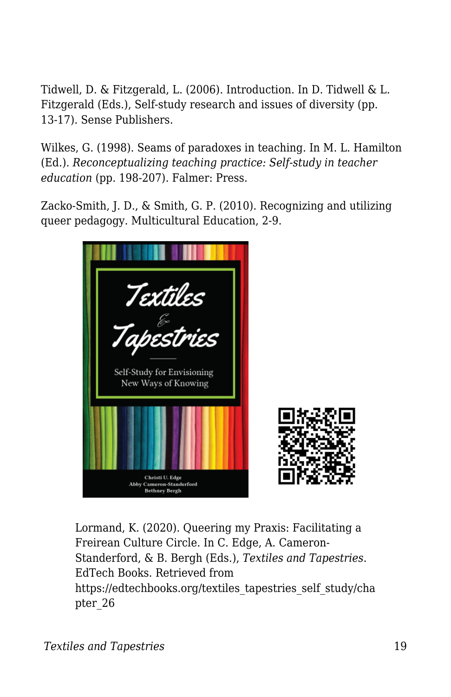Tidwell, D. & Fitzgerald, L. (2006). Introduction. In D. Tidwell & L. Fitzgerald (Eds.), Self-study research and issues of diversity (pp. 13-17). Sense Publishers.

Wilkes, G. (1998). Seams of paradoxes in teaching. In M. L. Hamilton (Ed.). *Reconceptualizing teaching practice: Self-study in teacher education* (pp. 198-207). Falmer: Press.

Zacko-Smith, J. D., & Smith, G. P. (2010). Recognizing and utilizing queer pedagogy. Multicultural Education, 2-9.



Lormand, K. (2020). Queering my Praxis: Facilitating a Freirean Culture Circle. In C. Edge, A. Cameron-Standerford, & B. Bergh (Eds.), *Textiles and Tapestries*. EdTech Books. Retrieved from https://edtechbooks.org/textiles\_tapestries\_self\_study/cha pter\_26